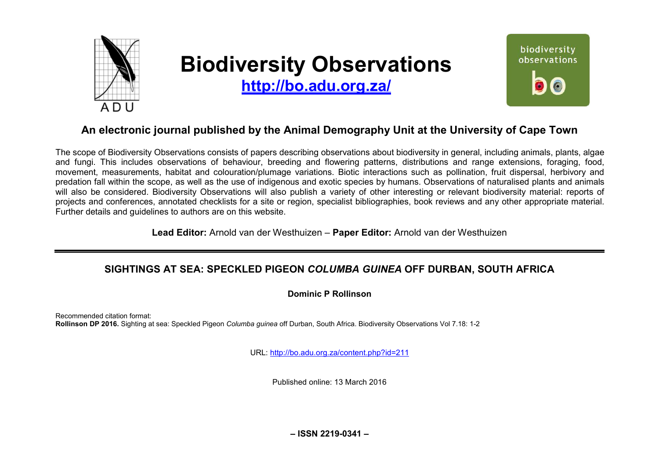

# **Biodiversity Observations**

**<http://bo.adu.org.za/>**



# **An electronic journal published by the Animal Demography Unit at the University of Cape Town**

The scope of Biodiversity Observations consists of papers describing observations about biodiversity in general, including animals, plants, algae and fungi. This includes observations of behaviour, breeding and flowering patterns, distributions and range extensions, foraging, food, movement, measurements, habitat and colouration/plumage variations. Biotic interactions such as pollination, fruit dispersal, herbivory and predation fall within the scope, as well as the use of indigenous and exotic species by humans. Observations of naturalised plants and animals will also be considered. Biodiversity Observations will also publish a variety of other interesting or relevant biodiversity material: reports of projects and conferences, annotated checklists for a site or region, specialist bibliographies, book reviews and any other appropriate material. Further details and guidelines to authors are on this website.

**Lead Editor:** Arnold van der Westhuizen – **Paper Editor:** Arnold van der Westhuizen

## **SIGHTINGS AT SEA: SPECKLED PIGEON** *COLUMBA GUINEA* **OFF DURBAN, SOUTH AFRICA**

**Dominic P Rollinson** 

Recommended citation format: **Rollinson DP 2016.** Sighting at sea: Speckled Pigeon *Columba guinea* off Durban, South Africa. Biodiversity Observations Vol 7.18: 1-2

URL:<http://bo.adu.org.za/content.php?id=211>

Published online: 13 March 2016

**– ISSN 2219-0341 –**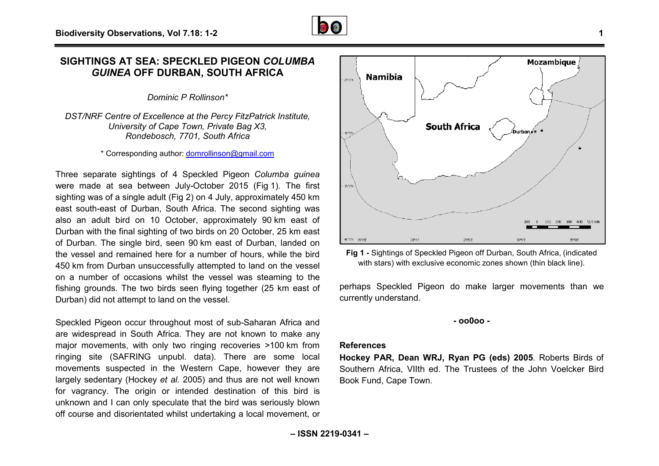## **SIGHTINGS AT SEA: SPECKLED PIGEON** *COLUMBA GUINEA* **OFF DURBAN, SOUTH AFRICA RICA**

*Dominic P Rollinson\** 

*DST/NRF Centre of Excellence at the Percy FitzPatrick Institute, University of Cape Town, Private Bag X3, Rondebosch, 7701, South Africa* 

\* Corresponding author: [domrollinson@gmail.com](mailto:domrollinson@gmail.com)

Three separate sightings of 4 Speckled Pigeon *Columba guinea* were made at sea between July-October 2015 (Fig 1). The first sighting was of a single adult (Fig 2) on 4 July, approximately 450 km east south-east of Durban, South Africa. The second sighting was eastalso an adult bird on 10 October, approximately 90 km east of Durban with the final sighting of two birds on 20 October, 25 km east of Durban. The single bird, seen 90 km east of Durban, landed on the vessel and remained here for a number of hours, while the bird 450 km from Durban unsuccessfully attempted to land on the vessel on a number of occasions whilst the vessel was steaming to the fishing grounds. The two birds seen flying together (25 km east of Durban) did not attempt to land on the vessel.

Speckled Pigeon occur throughout most of sub-Saharan Africa and are widespread in South Africa. They are not known to make any major movements, with only two ringing recoveries >100 km from ringing site (SAFRING unpubl. data). There are some local movements suspected in the Western Cape, however they are largely sedentary (Hockey *et al.* 2005) and thus are not well known for vagrancy. The origin or intended destination of this bird is unknown and I can only speculate that the bird was seriously blown off course and disorientated whilst undertaking a local movement, or r throughout most of sub-Saharan Africa and<br>uth Africa. They are not known to make any<br>h only two ringing recoveries >100 km from



**Fig 1 -** Sightings of Speckled Pigeon off Durban, South Africa, (indicated with stars) with exclusive economic zones shown (thin black line).

perhaps Speckled Pigeon do make larger movements than we currently understand.

#### **- oo0oo -**

### **References**

**Hockey PAR, Dean WRJ, Ryan PG (eds) 2005 J,**. Roberts Birds of Southern Africa, VIIth ed. The Trustees of the John Voelcker Bird Book Fund, Cape Town.

**Mozambique**